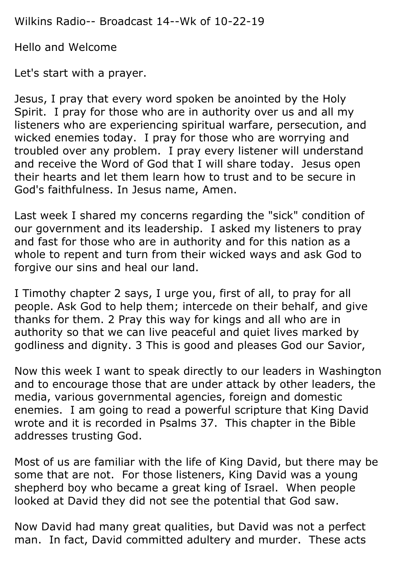Wilkins Radio-- Broadcast 14--Wk of 10-22-19

Hello and Welcome

Let's start with a prayer.

Jesus, I pray that every word spoken be anointed by the Holy Spirit. I pray for those who are in authority over us and all my listeners who are experiencing spiritual warfare, persecution, and wicked enemies today. I pray for those who are worrying and troubled over any problem. I pray every listener will understand and receive the Word of God that I will share today. Jesus open their hearts and let them learn how to trust and to be secure in God's faithfulness. In Jesus name, Amen.

Last week I shared my concerns regarding the "sick" condition of our government and its leadership. I asked my listeners to pray and fast for those who are in authority and for this nation as a whole to repent and turn from their wicked ways and ask God to forgive our sins and heal our land.

I Timothy chapter 2 says, I urge you, first of all, to pray for all people. Ask God to help them; intercede on their behalf, and give thanks for them. 2 Pray this way for kings and all who are in authority so that we can live peaceful and quiet lives marked by godliness and dignity. 3 This is good and pleases God our Savior,

Now this week I want to speak directly to our leaders in Washington and to encourage those that are under attack by other leaders, the media, various governmental agencies, foreign and domestic enemies. I am going to read a powerful scripture that King David wrote and it is recorded in Psalms 37. This chapter in the Bible addresses trusting God.

Most of us are familiar with the life of King David, but there may be some that are not. For those listeners, King David was a young shepherd boy who became a great king of Israel. When people looked at David they did not see the potential that God saw.

Now David had many great qualities, but David was not a perfect man. In fact, David committed adultery and murder. These acts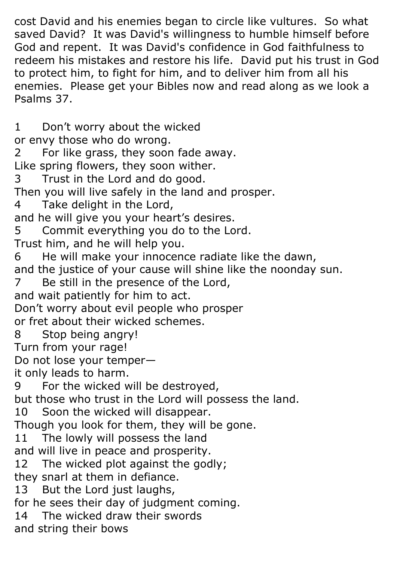cost David and his enemies began to circle like vultures. So what saved David? It was David's willingness to humble himself before God and repent. It was David's confidence in God faithfulness to redeem his mistakes and restore his life. David put his trust in God to protect him, to fight for him, and to deliver him from all his enemies. Please get your Bibles now and read along as we look a Psalms 37.

1 Don't worry about the wicked or envy those who do wrong. 2 For like grass, they soon fade away. Like spring flowers, they soon wither. 3 Trust in the Lord and do good. Then you will live safely in the land and prosper. 4 Take delight in the Lord, and he will give you your heart's desires. 5 Commit everything you do to the Lord. Trust him, and he will help you. 6 He will make your innocence radiate like the dawn, and the justice of your cause will shine like the noonday sun. 7 Be still in the presence of the Lord, and wait patiently for him to act. Don't worry about evil people who prosper or fret about their wicked schemes. 8 Stop being angry! Turn from your rage! Do not lose your temper it only leads to harm. 9 For the wicked will be destroyed, but those who trust in the Lord will possess the land. 10 Soon the wicked will disappear. Though you look for them, they will be gone. 11 The lowly will possess the land and will live in peace and prosperity. 12 The wicked plot against the godly; they snarl at them in defiance. 13 But the Lord just laughs, for he sees their day of judgment coming. 14 The wicked draw their swords and string their bows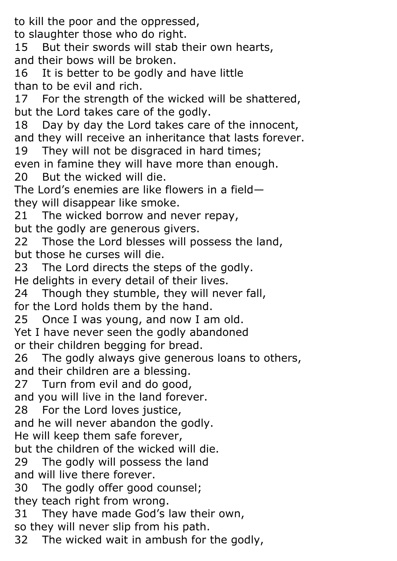to kill the poor and the oppressed, to slaughter those who do right. 15 But their swords will stab their own hearts, and their bows will be broken. 16 It is better to be godly and have little than to be evil and rich. 17 For the strength of the wicked will be shattered, but the Lord takes care of the godly. 18 Day by day the Lord takes care of the innocent, and they will receive an inheritance that lasts forever. 19 They will not be disgraced in hard times; even in famine they will have more than enough. 20 But the wicked will die. The Lord's enemies are like flowers in a field they will disappear like smoke. 21 The wicked borrow and never repay, but the godly are generous givers. 22 Those the Lord blesses will possess the land, but those he curses will die. 23 The Lord directs the steps of the godly. He delights in every detail of their lives. 24 Though they stumble, they will never fall, for the Lord holds them by the hand. 25 Once I was young, and now I am old. Yet I have never seen the godly abandoned or their children begging for bread. 26 The godly always give generous loans to others, and their children are a blessing. 27 Turn from evil and do good, and you will live in the land forever. 28 For the Lord loves justice, and he will never abandon the godly. He will keep them safe forever, but the children of the wicked will die. 29 The godly will possess the land and will live there forever. 30 The godly offer good counsel; they teach right from wrong. 31 They have made God's law their own, so they will never slip from his path. 32 The wicked wait in ambush for the godly,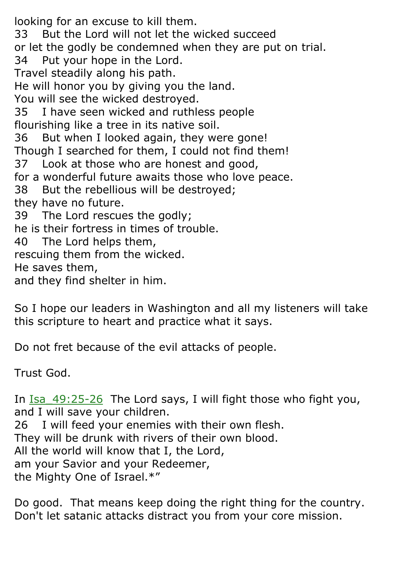looking for an excuse to kill them. 33 But the Lord will not let the wicked succeed or let the godly be condemned when they are put on trial. 34 Put your hope in the Lord. Travel steadily along his path. He will honor you by giving you the land. You will see the wicked destroyed. 35 I have seen wicked and ruthless people flourishing like a tree in its native soil. 36 But when I looked again, they were gone! Though I searched for them, I could not find them! 37 Look at those who are honest and good, for a wonderful future awaits those who love peace. 38 But the rebellious will be destroyed; they have no future. 39 The Lord rescues the godly; he is their fortress in times of trouble. 40 The Lord helps them, rescuing them from the wicked. He saves them, and they find shelter in him.

So I hope our leaders in Washington and all my listeners will take this scripture to heart and practice what it says.

Do not fret because of the evil attacks of people.

Trust God.

In  $Isa$  49:25-26 The Lord says, I will fight those who fight you, and I will save your children. 26 I will feed your enemies with their own flesh. They will be drunk with rivers of their own blood. All the world will know that I, the Lord, am your Savior and your Redeemer, the Mighty One of Israel.\*"

Do good. That means keep doing the right thing for the country. Don't let satanic attacks distract you from your core mission.